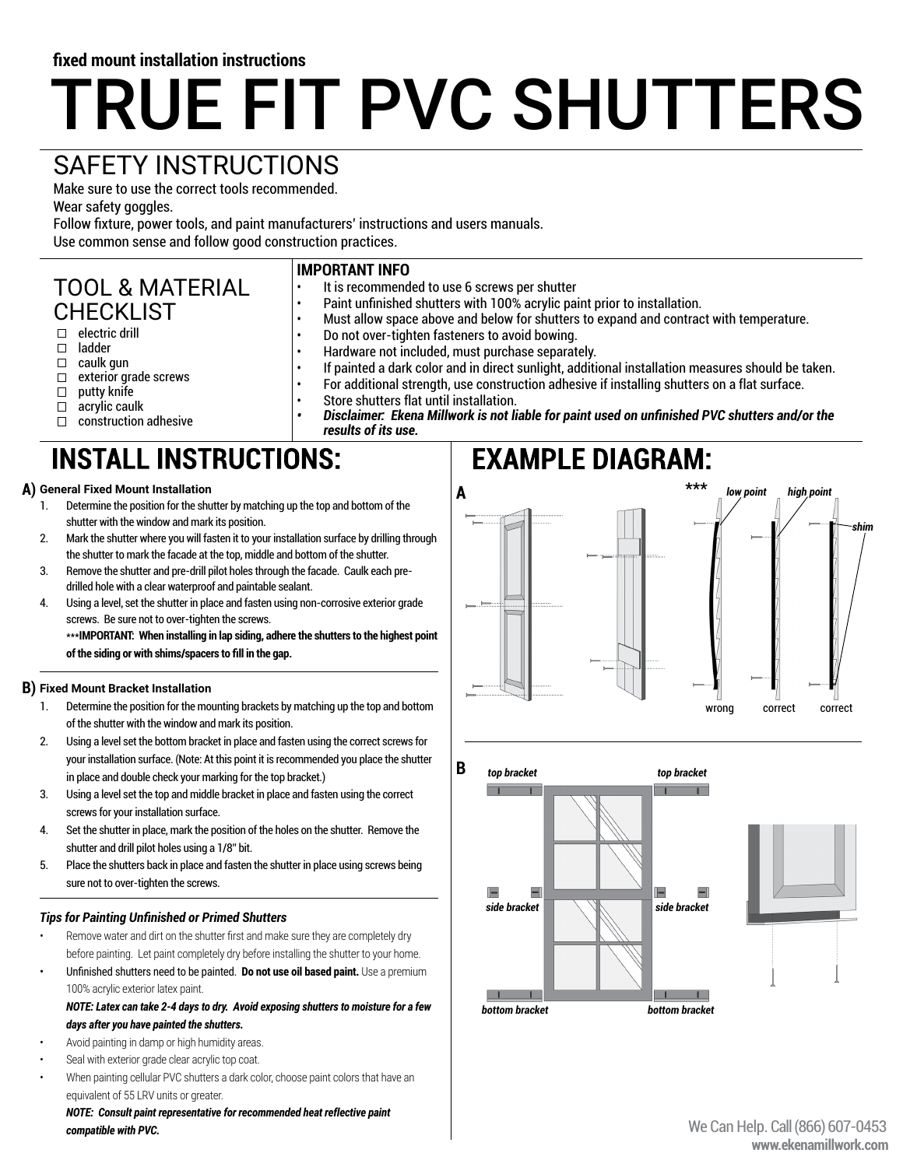#### **fixed mount installation instructions**

# TRUE FIT PVC SHUTTERS

## SAFETY INSTRUCTIONS

Make sure to use the correct tools recommended.

Wear safety goggles.

Follow fixture, power tools, and paint manufacturers' instructions and users manuals.

Use common sense and follow good construction practices.

#### TOOL & MATERIAL CHECKLIST

- $\Box$  electric drill
- ladder
- $\Box$ caulk gun
- exterior grade screws  $\Box$
- $\Box$ putty knife
- acrylic caulk  $\Box$
- $\Box$  construction adhesive

# **INSTALL INSTRUCTIONS:**

- 1. Determine the position for the shutter by matching up the top and bottom of the shutter with the window and mark its position.
- 2. Mark the shutter where you will fasten it to your installation surface by drilling through the shutter to mark the facade at the top, middle and bottom of the shutter.
- 3. Remove the shutter and pre-drill pilot holes through the facade. Caulk each predrilled hole with a clear waterproof and paintable sealant.
- 4. Using a level, set the shutter in place and fasten using non-corrosive exterior grade screws. Be sure not to over-tighten the screws.

\*\*\***IMPORTANT: When installing in lap siding, adhere the shutters to the highest point of the siding or with shims/spacers to fill in the gap.**

#### **Fixed Mount Bracket Installation B)**

- 1. Determine the position for the mounting brackets by matching up the top and bottom of the shutter with the window and mark its position.
- 2. Using a level set the bottom bracket in place and fasten using the correct screws for your installation surface. (Note: At this point it is recommended you place the shutter in place and double check your marking for the top bracket.)
- 3. Using a level set the top and middle bracket in place and fasten using the correct screws for your installation surface.
- 4. Set the shutter in place, mark the position of the holes on the shutter. Remove the shutter and drill pilot holes using a 1/8" bit.
- 5. Place the shutters back in place and fasten the shutter in place using screws being sure not to over-tighten the screws.

#### *Tips for Painting Unfinished or Primed Shutters*

- Remove water and dirt on the shutter first and make sure they are completely dry before painting. Let paint completely dry before installing the shutter to your home.
- Unfinished shutters need to be painted. **Do not use oil based paint.** Use a premium 100% acrylic exterior latex paint.

#### *NOTE: Latex can take 2-4 days to dry. Avoid exposing shutters to moisture for a few days after you have painted the shutters.*

- Avoid painting in damp or high humidity areas.
- Seal with exterior grade clear acrylic top coat.
- When painting cellular PVC shutters a dark color, choose paint colors that have an equivalent of 55 LRV units or greater.

*NOTE: Consult paint representative for recommended heat reflective paint compatible with PVC.* We Can Help. Call (866) 607-0453

#### **IMPORTANT INFO** It is recommended to use 6 screws per shutter

• Paint unfinished shutters with 100% acrylic paint prior to installation.<br>• Must allow space above and below for shutters to expand and contract

• Must allow space above and below for shutters to expand and contract with temperature.

- Do not over-tighten fasteners to avoid bowing.
- Hardware not included, must purchase separately.<br>• If painted a dark color and in direct suplight, additivity
	- If painted a dark color and in direct sunlight, additional installation measures should be taken. • For additional strength, use construction adhesive if installing shutters on a flat surface.
		- Store shutters flat until installation.
		- *• Disclaimer: Ekena Millwork is not liable for paint used on unfinished PVC shutters and/or the results of its use.*

# **EXAMPLE DIAGRAM: General Fixed Mount Installation A) \*\*\* A** *high point high point low point shim* wrong correct correct